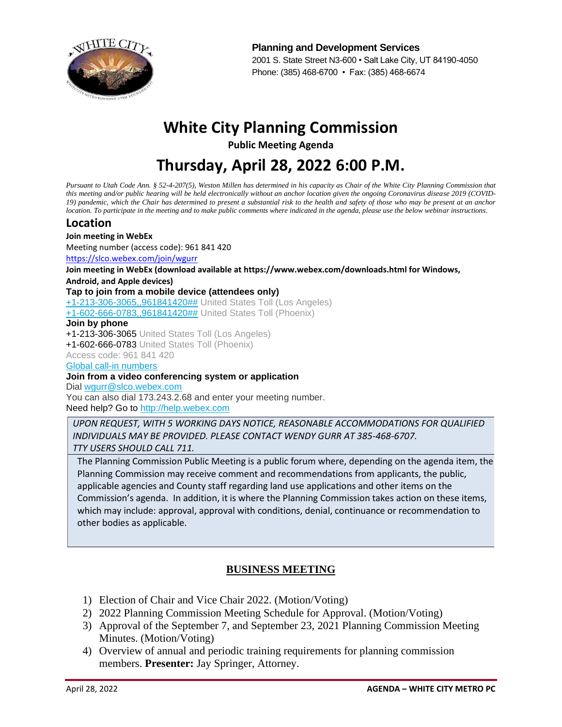

**Planning and Development Services** 2001 S. State Street N3-600 • Salt Lake City, UT 84190-4050 Phone: (385) 468-6700 • Fax: (385) 468-6674

# **White City Planning Commission**

**Public Meeting Agenda**

## **Thursday, April 28, 2022 6:00 P.M.**

*Pursuant to Utah Code Ann. § 52-4-207(5), Weston Millen has determined in his capacity as Chair of the White City Planning Commission that this meeting and/or public hearing will be held electronically without an anchor location given the ongoing Coronavirus disease 2019 (COVID-19) pandemic, which the Chair has determined to present a substantial risk to the health and safety of those who may be present at an anchor location. To participate in the meeting and to make public comments where indicated in the agenda, please use the below webinar instructions.*

### **Location**

### **Join meeting in WebEx**

Meeting number (access code): 961 841 420 <https://slco.webex.com/join/wgurr>

**Join meeting in WebEx (download available at https://www.webex.com/downloads.html for Windows,** 

**Android, and Apple devices)** 

### **Tap to join from a mobile device (attendees only)**

[+1-213-306-3065,,961841420##](tel:%2B1-213-306-3065,,*01*961841420%23%23*01*) United States Toll (Los Angeles) [+1-602-666-0783,,961841420##](tel:%2B1-602-666-0783,,*01*961841420%23%23*01*) United States Toll (Phoenix)

#### **Join by phone**

+1-213-306-3065 United States Toll (Los Angeles) +1-602-666-0783 United States Toll (Phoenix) Access code: 961 841 420

[Global call-in numbers](https://slco.webex.com/cmp3300/webcomponents/widget/globalcallin/globalcallin.do?siteurl=slco&serviceType=MC&ED=856043427&tollFree=0)

## **Join from a video conferencing system or application**

Dial [wgurr@slco.webex.com](sip:wgurr@slco.webex.com)

You can also dial 173.243.2.68 and enter your meeting number. Need help? Go to [http://help.webex.com](http://help.webex.com/)

*UPON REQUEST, WITH 5 WORKING DAYS NOTICE, REASONABLE ACCOMMODATIONS FOR QUALIFIED INDIVIDUALS MAY BE PROVIDED. PLEASE CONTACT WENDY GURR AT 385-468-6707. TTY USERS SHOULD CALL 711.*

The Planning Commission Public Meeting is a public forum where, depending on the agenda item, the Planning Commission may receive comment and recommendations from applicants, the public, applicable agencies and County staff regarding land use applications and other items on the Commission's agenda. In addition, it is where the Planning Commission takes action on these items, which may include: approval, approval with conditions, denial, continuance or recommendation to other bodies as applicable.

## **BUSINESS MEETING**

- 1) Election of Chair and Vice Chair 2022. (Motion/Voting)
- 2) 2022 Planning Commission Meeting Schedule for Approval. (Motion/Voting)
- 3) Approval of the September 7, and September 23, 2021 Planning Commission Meeting Minutes. (Motion/Voting)
- 4) Overview of annual and periodic training requirements for planning commission members. **Presenter:** Jay Springer, Attorney.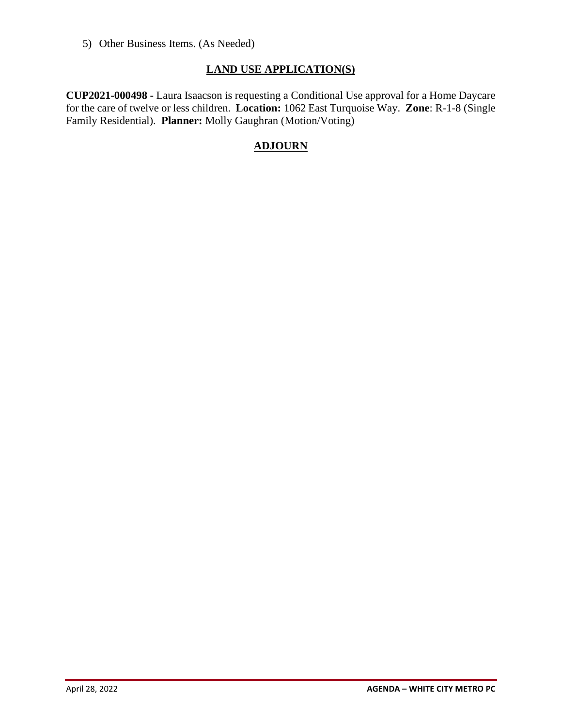5) Other Business Items. (As Needed)

## **LAND USE APPLICATION(S)**

**CUP2021-000498 -** Laura Isaacson is requesting a Conditional Use approval for a Home Daycare for the care of twelve or less children. **Location:** 1062 East Turquoise Way. **Zone**: R-1-8 (Single Family Residential). **Planner:** Molly Gaughran (Motion/Voting)

## **ADJOURN**